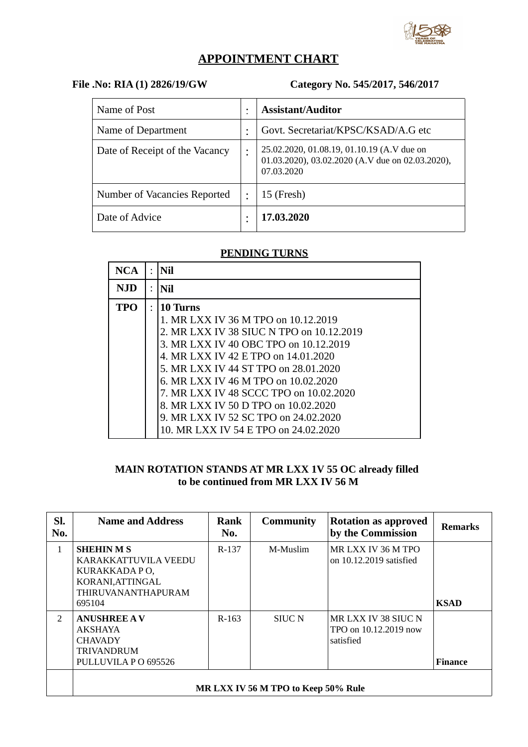

# **APPOINTMENT CHART**

# **File .No: RIA (1) 2826/19/GW Category No. 545/2017, 546/2017**

| Name of Post                   |           | <b>Assistant/Auditor</b>                                                                                     |
|--------------------------------|-----------|--------------------------------------------------------------------------------------------------------------|
| Name of Department             |           | Govt. Secretariat/KPSC/KSAD/A.G etc                                                                          |
| Date of Receipt of the Vacancy |           | 25.02.2020, 01.08.19, 01.10.19 (A.V due on<br>01.03.2020), 03.02.2020 (A.V due on 02.03.2020),<br>07.03.2020 |
| Number of Vacancies Reported   | $\bullet$ | $15$ (Fresh)                                                                                                 |
| Date of Advice                 |           | 17.03.2020                                                                                                   |

# **PENDING TURNS**

| NCA.       | $\bullet$ | Nil                                      |
|------------|-----------|------------------------------------------|
| <b>NJD</b> |           | Nil                                      |
| TPO        |           | 10 Turns                                 |
|            |           | 1. MR LXX IV 36 M TPO on 10.12.2019      |
|            |           | 2. MR LXX IV 38 SIUC N TPO on 10.12.2019 |
|            |           | 3. MR LXX IV 40 OBC TPO on 10.12.2019    |
|            |           | 4. MR LXX IV 42 E TPO on 14.01.2020      |
|            |           | 5. MR LXX IV 44 ST TPO on 28.01.2020     |
|            |           | 6. MR LXX IV 46 M TPO on 10.02.2020      |
|            |           | 7. MR LXX IV 48 SCCC TPO on 10.02.2020   |
|            |           | 8. MR LXX IV 50 D TPO on 10.02.2020      |
|            |           | 9. MR LXX IV 52 SC TPO on 24.02.2020     |
|            |           | 10. MR LXX IV 54 E TPO on 24.02.2020     |

### **MAIN ROTATION STANDS AT MR LXX 1V 55 OC already filled to be continued from MR LXX IV 56 M**

| SI.<br>No.    | <b>Name and Address</b>                                                                                             | Rank<br>No. | <b>Community</b> | <b>Rotation as approved</b><br>by the Commission          | <b>Remarks</b> |  |  |
|---------------|---------------------------------------------------------------------------------------------------------------------|-------------|------------------|-----------------------------------------------------------|----------------|--|--|
| $\mathbf{1}$  | <b>SHEHINMS</b><br>KARAKKATTUVILA VEEDU<br>KURAKKADA PO,<br>KORANI, ATTINGAL<br><b>THIRUVANANTHAPURAM</b><br>695104 | R-137       | M-Muslim         | MR LXX IV 36 M TPO<br>on 10.12.2019 satisfied             | <b>KSAD</b>    |  |  |
| $\mathcal{P}$ | <b>ANUSHREE AV</b><br>AKSHAYA<br><b>CHAVADY</b><br><b>TRIVANDRUM</b><br>PULLUVILA PO 695526                         | $R-163$     | <b>SIUC N</b>    | MR LXX IV 38 SIUC N<br>TPO on 10.12.2019 now<br>satisfied | <b>Finance</b> |  |  |
|               | MR LXX IV 56 M TPO to Keep 50% Rule                                                                                 |             |                  |                                                           |                |  |  |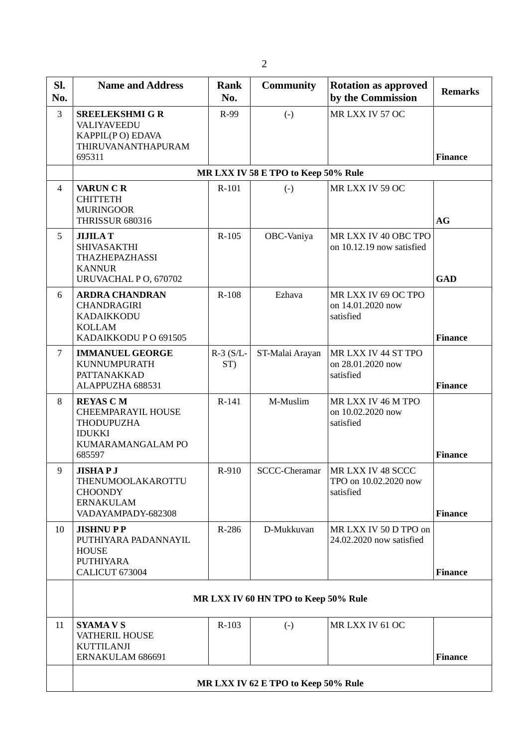| SI.<br>No.     | <b>Name and Address</b>                                                                             | <b>Rank</b><br>No.                                                         | <b>Community</b>                    | <b>Rotation as approved</b><br>by the Commission        |                |  |  |  |
|----------------|-----------------------------------------------------------------------------------------------------|----------------------------------------------------------------------------|-------------------------------------|---------------------------------------------------------|----------------|--|--|--|
| 3              | <b>SREELEKSHMI G R</b><br>VALIYAVEEDU<br>KAPPIL(PO) EDAVA<br>THIRUVANANTHAPURAM<br>695311           | R-99                                                                       | $(-)$                               | MR LXX IV 57 OC                                         | <b>Finance</b> |  |  |  |
|                |                                                                                                     |                                                                            | MR LXX IV 58 E TPO to Keep 50% Rule |                                                         |                |  |  |  |
| $\overline{4}$ | <b>VARUN C R</b><br><b>CHITTETH</b><br><b>MURINGOOR</b><br><b>THRISSUR 680316</b>                   | R-101                                                                      | $(-)$                               | MR LXX IV 59 OC                                         | AG             |  |  |  |
| 5              | <b>JIJILAT</b><br><b>SHIVASAKTHI</b><br>THAZHEPAZHASSI<br><b>KANNUR</b><br>URUVACHAL PO, 670702     | $R-105$<br>OBC-Vaniya<br>MR LXX IV 40 OBC TPO<br>on 10.12.19 now satisfied |                                     | <b>GAD</b>                                              |                |  |  |  |
| 6              | <b>ARDRA CHANDRAN</b><br><b>CHANDRAGIRI</b><br>KADAIKKODU<br><b>KOLLAM</b><br>KADAIKKODU PO 691505  | R-108                                                                      | Ezhava                              | MR LXX IV 69 OC TPO<br>on 14.01.2020 now<br>satisfied   | <b>Finance</b> |  |  |  |
| 7              | <b>IMMANUEL GEORGE</b><br><b>KUNNUMPURATH</b><br>PATTANAKKAD<br>ALAPPUZHA 688531                    | $R-3$ (S/L-<br>ST)                                                         | ST-Malai Arayan                     | MR LXX IV 44 ST TPO<br>on 28.01.2020 now<br>satisfied   | <b>Finance</b> |  |  |  |
| 8              | <b>REYAS CM</b><br>CHEEMPARAYIL HOUSE<br>THODUPUZHA<br><b>IDUKKI</b><br>KUMARAMANGALAM PO<br>685597 | R-141                                                                      | M-Muslim                            | MR LXX IV 46 M TPO<br>on 10.02.2020 now<br>satisfied    | <b>Finance</b> |  |  |  |
| 9              | <b>JISHAP J</b><br>THENUMOOLAKAROTTU<br><b>CHOONDY</b><br><b>ERNAKULAM</b><br>VADAYAMPADY-682308    | R-910                                                                      | <b>SCCC-Cheramar</b>                | MR LXX IV 48 SCCC<br>TPO on 10.02.2020 now<br>satisfied | <b>Finance</b> |  |  |  |
| 10             | <b>JISHNUPP</b><br>PUTHIYARA PADANNAYIL<br><b>HOUSE</b><br><b>PUTHIYARA</b><br>CALICUT 673004       | R-286                                                                      | D-Mukkuvan                          | MR LXX IV 50 D TPO on<br>24.02.2020 now satisfied       | <b>Finance</b> |  |  |  |
|                | MR LXX IV 60 HN TPO to Keep 50% Rule                                                                |                                                                            |                                     |                                                         |                |  |  |  |
| 11             | <b>SYAMA V S</b><br>VATHERIL HOUSE<br><b>KUTTILANJI</b><br>ERNAKULAM 686691                         | R-103                                                                      | $(-)$                               | MR LXX IV 61 OC                                         | <b>Finance</b> |  |  |  |
|                | MR LXX IV 62 E TPO to Keep 50% Rule                                                                 |                                                                            |                                     |                                                         |                |  |  |  |